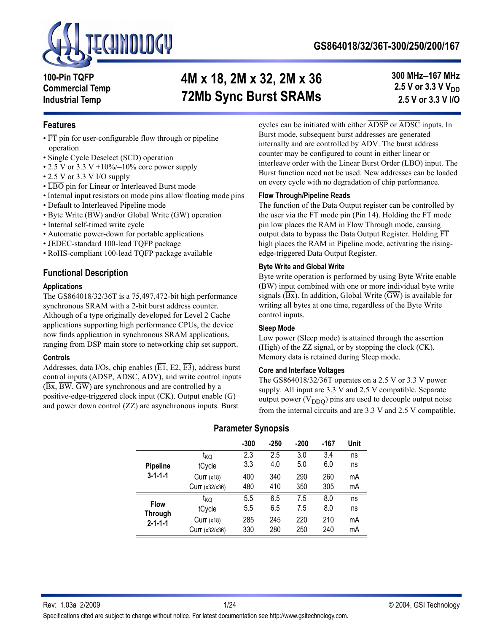

**100-Pin TQFP Commercial Temp Industrial Temp**

# **4M x 18, 2M x 32, 2M x 36 72Mb Sync Burst SRAMs**

**300 MHz–167 MHz 2.5 V or 3.3 V V<sub>DD</sub> 2.5 V or 3.3 V I/O**

### **Features**

- FT pin for user-configurable flow through or pipeline operation
- Single Cycle Deselect (SCD) operation
- 2.5 V or 3.3 V +10%/-10% core power supply
- 2.5 V or 3.3 V I/O supply
- LBO pin for Linear or Interleaved Burst mode
- Internal input resistors on mode pins allow floating mode pins
- Default to Interleaved Pipeline mode
- Byte Write  $(\overline{BW})$  and/or Global Write  $(\overline{GW})$  operation
- Internal self-timed write cycle
- Automatic power-down for portable applications
- JEDEC-standard 100-lead TQFP package
- RoHS-compliant 100-lead TQFP package available

### **Functional Description**

#### **Applications**

The GS864018/32/36T is a 75,497,472-bit high performance synchronous SRAM with a 2-bit burst address counter. Although of a type originally developed for Level 2 Cache applications supporting high performance CPUs, the device now finds application in synchronous SRAM applications, ranging from DSP main store to networking chip set support.

#### **Controls**

Addresses, data I/Os, chip enables  $(\overline{E1}, E2, \overline{E3})$ , address burst control inputs (ADSP, ADSC, ADV), and write control inputs  $(\overline{Bx}, \overline{BW}, \overline{GW})$  are synchronous and are controlled by a positive-edge-triggered clock input (CK). Output enable  $(\overline{G})$ and power down control (ZZ) are asynchronous inputs. Burst

cycles can be initiated with either ADSP or ADSC inputs. In Burst mode, subsequent burst addresses are generated internally and are controlled by ADV. The burst address counter may be configured to count in either linear or interleave order with the Linear Burst Order  $(\overline{LBO})$  input. The Burst function need not be used. New addresses can be loaded on every cycle with no degradation of chip performance.

#### **Flow Through/Pipeline Reads**

The function of the Data Output register can be controlled by the user via the  $\overline{FT}$  mode pin (Pin 14). Holding the  $\overline{FT}$  mode pin low places the RAM in Flow Through mode, causing output data to bypass the Data Output Register. Holding  $\overline{FT}$ high places the RAM in Pipeline mode, activating the risingedge-triggered Data Output Register.

#### **Byte Write and Global Write**

Byte write operation is performed by using Byte Write enable  $(\overline{BW})$  input combined with one or more individual byte write signals  $(\overline{Bx})$ . In addition, Global Write  $(\overline{GW})$  is available for writing all bytes at one time, regardless of the Byte Write control inputs.

#### **Sleep Mode**

Low power (Sleep mode) is attained through the assertion (High) of the ZZ signal, or by stopping the clock (CK). Memory data is retained during Sleep mode.

#### **Core and Interface Voltages**

The GS864018/32/36T operates on a 2.5 V or 3.3 V power supply. All input are 3.3 V and 2.5 V compatible. Separate output power  $(V_{DDO})$  pins are used to decouple output noise from the internal circuits and are 3.3 V and 2.5 V compatible.

|                 |                 | $-300$ | $-250$ | $-200$ | -167 | Unit |
|-----------------|-----------------|--------|--------|--------|------|------|
|                 | <sup>τ</sup> κQ | 2.3    | 2.5    | 3.0    | 3.4  | ns   |
| <b>Pipeline</b> | tCycle          | 3.3    | 4.0    | 5.0    | 6.0  | ns   |
| $3 - 1 - 1 - 1$ | Curr $(x18)$    | 400    | 340    | 290    | 260  | mA   |
|                 | Curr(x32/x36)   | 480    | 410    | 350    | 305  | mA   |
| <b>Flow</b>     | ικo             | 5.5    | 6.5    | 7.5    | 8.0  | ns   |
| <b>Through</b>  | tCycle          | 5.5    | 6.5    | 7.5    | 8.0  | ns   |
| $2 - 1 - 1 - 1$ | Curr $(x18)$    | 285    | 245    | 220    | 210  | mA   |
|                 | Curr (x32/x36)  | 330    | 280    | 250    | 240  | mA   |

### **Parameter Synopsis**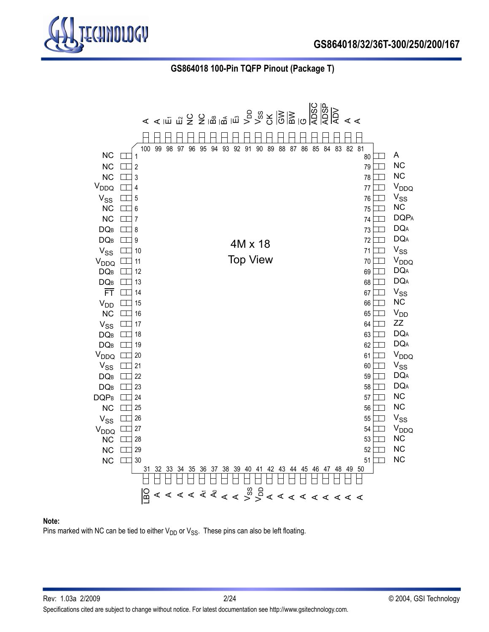

 **GS864018 100-Pin TQFP Pinout (Package T)**



#### **Note:**

Pins marked with NC can be tied to either  $V_{DD}$  or  $V_{SS}$ . These pins can also be left floating.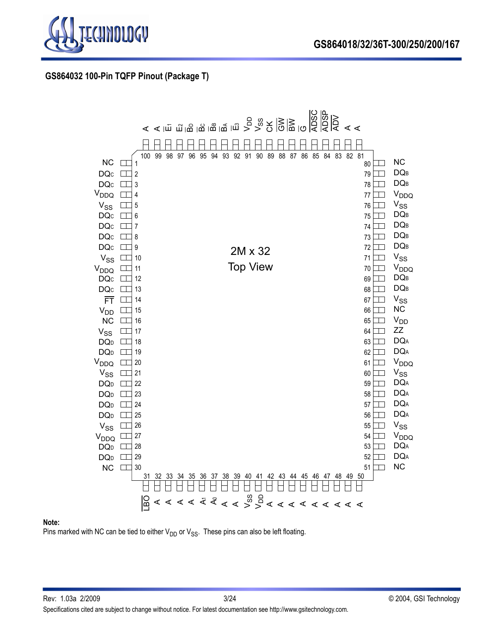

### **GS864032 100-Pin TQFP Pinout (Package T)**



#### **Note:**

Pins marked with NC can be tied to either  $V_{DD}$  or  $V_{SS}$ . These pins can also be left floating.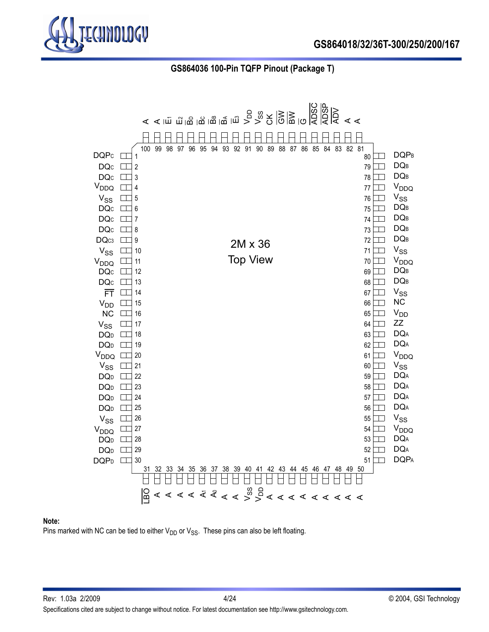

 **GS864036 100-Pin TQFP Pinout (Package T)**



#### **Note:**

Pins marked with NC can be tied to either  $V_{DD}$  or  $V_{SS}$ . These pins can also be left floating.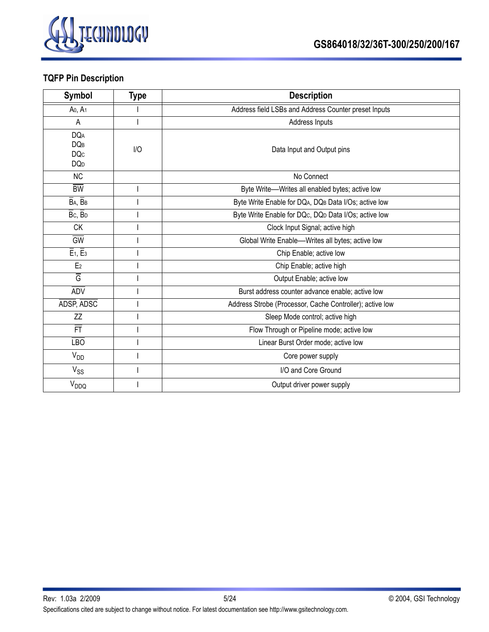

# **TQFP Pin Description**

| Symbol                                                           | <b>Type</b> | <b>Description</b>                                       |
|------------------------------------------------------------------|-------------|----------------------------------------------------------|
| Ao, A <sub>1</sub>                                               |             | Address field LSBs and Address Counter preset Inputs     |
| A                                                                |             | Address Inputs                                           |
| <b>DQA</b><br><b>DQB</b><br><b>DQc</b><br><b>DQ</b> <sub>D</sub> | I/O         | Data Input and Output pins                               |
| <b>NC</b>                                                        |             | No Connect                                               |
| <b>BW</b>                                                        |             | Byte Write-Writes all enabled bytes; active low          |
| BA, BB                                                           |             | Byte Write Enable for DQA, DQB Data I/Os; active low     |
| Bc, BD                                                           |             | Byte Write Enable for DQc, DQD Data I/Os; active low     |
| <b>CK</b>                                                        |             | Clock Input Signal; active high                          |
| <b>GW</b>                                                        |             | Global Write Enable--Writes all bytes; active low        |
| $\overline{E}_1$ , $\overline{E}_3$                              |             | Chip Enable; active low                                  |
| E <sub>2</sub>                                                   |             | Chip Enable; active high                                 |
| Ğ                                                                |             | Output Enable; active low                                |
| <b>ADV</b>                                                       |             | Burst address counter advance enable; active low         |
| ADSP, ADSC                                                       |             | Address Strobe (Processor, Cache Controller); active low |
| ZZ                                                               |             | Sleep Mode control; active high                          |
| FT                                                               |             | Flow Through or Pipeline mode; active low                |
| <b>LBO</b>                                                       |             | Linear Burst Order mode; active low                      |
| V <sub>DD</sub>                                                  |             | Core power supply                                        |
| $V_{SS}$                                                         |             | I/O and Core Ground                                      |
| V <sub>DDQ</sub>                                                 |             | Output driver power supply                               |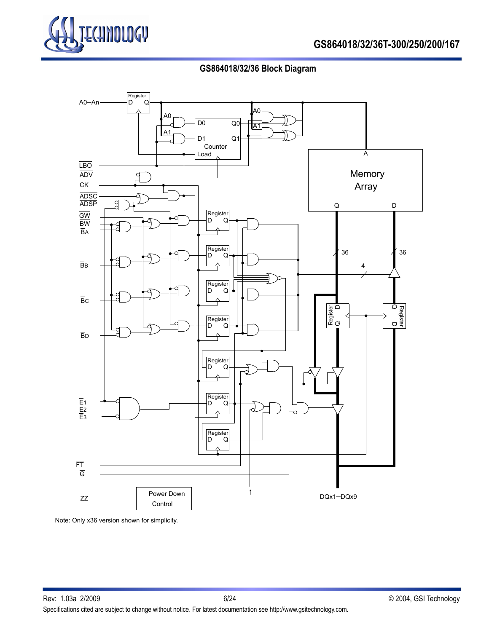

# **GS864018/32/36 Block Diagram**



Note: Only x36 version shown for simplicity.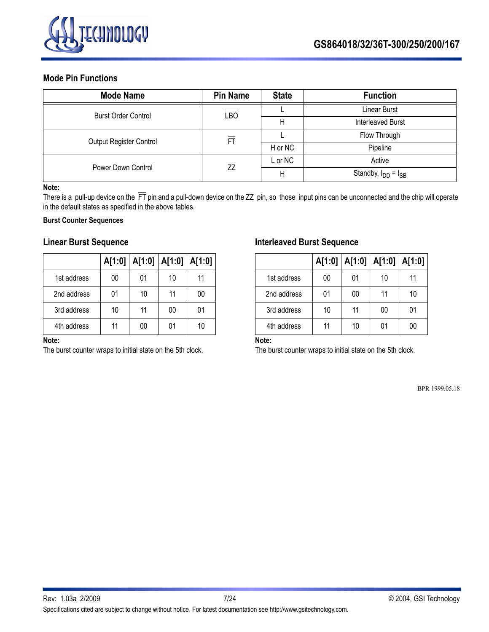

### **Mode Pin Functions**

| <b>Mode Name</b>           | <b>Pin Name</b>  | <b>State</b> | <b>Function</b>            |
|----------------------------|------------------|--------------|----------------------------|
| <b>Burst Order Control</b> | $E$ <sub>D</sub> |              | Linear Burst               |
|                            |                  | Н            | <b>Interleaved Burst</b>   |
| Output Register Control    | 冝                |              | Flow Through               |
|                            |                  | H or NC      | Pipeline                   |
|                            |                  | L or NC      | Active                     |
| Power Down Control         | ZZ               | Н            | Standby, $I_{DD} = I_{SB}$ |

#### **Note:**

There is a pull-up device on the  $\overline{FT}$  pin and a pull-down device on the ZZ pin, so those input pins can be unconnected and the chip will operate in the default states as specified in the above tables.

### **Burst Counter Sequences**

### **Linear Burst Sequence**

|             |    | A[1:0]   A[1:0]   A[1:0]   A[1:0] |    |    |
|-------------|----|-----------------------------------|----|----|
| 1st address | 00 | 01                                | 10 | 11 |
| 2nd address | 01 | 10                                | 11 | 00 |
| 3rd address | 10 | 11                                | 00 | 01 |
| 4th address | 11 | 00                                | 01 | 10 |

### **Note:**

The burst counter wraps to initial state on the 5th clock.

### **Interleaved Burst Sequence**

|             |    | A[1:0]   A[1:0]   A[1:0]   A[1:0] |    |    |
|-------------|----|-----------------------------------|----|----|
| 1st address | 00 | 01                                | 10 | 11 |
| 2nd address | 01 | 00                                | 11 | 10 |
| 3rd address | 10 | 11                                | 00 | 01 |
| 4th address | 11 | 10                                | 01 | იი |

### **Note:**

The burst counter wraps to initial state on the 5th clock.

BPR 1999.05.18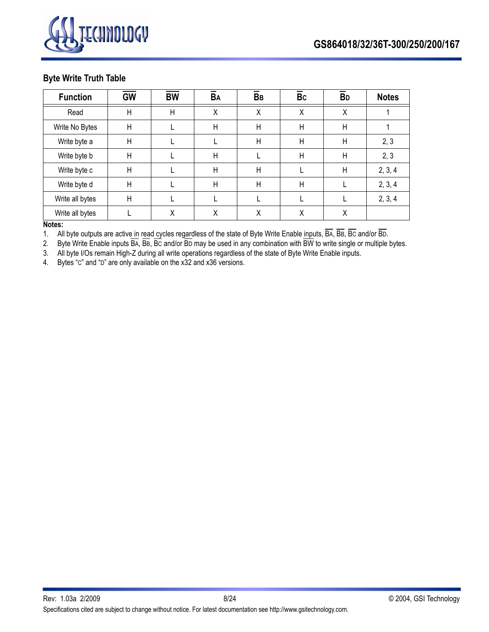

### **Byte Write Truth Table**

| <b>Function</b> | <b>GW</b>    | <b>BW</b> | BA | BB           | <b>Bc</b>    | <b>B</b> <sub>D</sub> | <b>Notes</b> |
|-----------------|--------------|-----------|----|--------------|--------------|-----------------------|--------------|
| Read            | $\mathsf{H}$ | H         | Χ  | Χ            | X            | X                     |              |
| Write No Bytes  | $\mathsf{H}$ |           | H  | $\mathsf{H}$ | $\mathsf{H}$ | $\mathsf{H}$          |              |
| Write byte a    | $\mathsf{H}$ |           |    | $\mathsf{H}$ | $\mathsf{H}$ | H                     | 2, 3         |
| Write byte b    | $\mathsf{H}$ |           | H  |              | $\mathsf{H}$ | $\mathsf{H}$          | 2, 3         |
| Write byte c    | $\mathsf{H}$ |           | H  | $\mathsf{H}$ |              | H                     | 2, 3, 4      |
| Write byte d    | $\mathsf{H}$ |           | H  | H            | $\mathsf{H}$ |                       | 2, 3, 4      |
| Write all bytes | $\mathsf{H}$ |           |    |              |              |                       | 2, 3, 4      |
| Write all bytes |              | Χ         | Χ  | Χ            | Χ            | Χ                     |              |

### **Notes:**

1. All byte outputs are active in read cycles regardless of the state of Byte Write Enable inputs, BA, BB, BC and/or BD.

2. Byte Write Enable inputs  $\overline{BA}$ ,  $\overline{BE}$ ,  $\overline{BC}$  and/or  $\overline{BD}$  may be used in any combination with  $\overline{BW}$  to write single or multiple bytes.

3. All byte I/Os remain High-Z during all write operations regardless of the state of Byte Write Enable inputs.

4. Bytes "C" and "D" are only available on the x32 and x36 versions.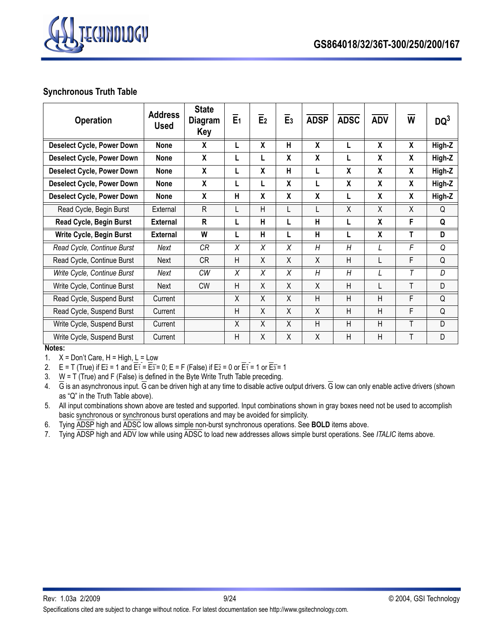

# **Synchronous Truth Table**

| <b>Operation</b>                  | <b>Address</b><br><b>Used</b> | <b>State</b><br>Diagram<br>Key | E <sub>1</sub> | E <sub>2</sub>          | E <sub>3</sub> | <b>ADSP</b>             | <b>ADSC</b> | <b>ADV</b> | W                       | $DQ^3$ |
|-----------------------------------|-------------------------------|--------------------------------|----------------|-------------------------|----------------|-------------------------|-------------|------------|-------------------------|--------|
| <b>Deselect Cycle, Power Down</b> | <b>None</b>                   | X                              |                | $\overline{\mathbf{X}}$ | н              | $\overline{\mathbf{X}}$ |             | X          | $\overline{\mathbf{x}}$ | High-Z |
| <b>Deselect Cycle, Power Down</b> | <b>None</b>                   | X                              |                | L                       | X              | X                       |             | X          | X                       | High-Z |
| <b>Deselect Cycle, Power Down</b> | <b>None</b>                   | X                              |                | X                       | н              | L                       | X           | X          | X                       | High-Z |
| <b>Deselect Cycle, Power Down</b> | <b>None</b>                   | X                              |                | L                       | X              | L                       | X           | X          | X                       | High-Z |
| <b>Deselect Cycle, Power Down</b> | <b>None</b>                   | X                              | н              | $\boldsymbol{X}$        | X              | X                       | L           | X          | X                       | High-Z |
| Read Cycle, Begin Burst           | External                      | R                              |                | $\overline{H}$          | L              | L                       | X           | X          | X                       | Q      |
| Read Cycle, Begin Burst           | <b>External</b>               | $\mathsf{R}$                   |                | H                       | L              | H                       |             | X          | F                       | Q      |
| Write Cycle, Begin Burst          | <b>External</b>               | W                              |                | H                       |                | H                       |             | X          | т                       | D      |
| Read Cycle, Continue Burst        | Next                          | CR                             | X              | X                       | X              | H                       | H           |            | F                       | O      |
| Read Cycle, Continue Burst        | Next                          | CR                             | H              | X                       | X              | X                       | H           | L          | F                       | Q      |
| Write Cycle, Continue Burst       | Next                          | СW                             | X              | X                       | X              | H                       | H           | L          | T                       | D      |
| Write Cycle, Continue Burst       | Next                          | <b>CW</b>                      | H              | X                       | X              | X                       | H           | L          | T                       | D      |
| Read Cycle, Suspend Burst         | Current                       |                                | X              | $\overline{X}$          | $\overline{X}$ | H                       | H           | H          | F                       | Q      |
| Read Cycle, Suspend Burst         | Current                       |                                | H              | Χ                       | X              | Χ                       | H           | H          | F                       | Q      |
| Write Cycle, Suspend Burst        | Current                       |                                | X              | $\overline{X}$          | $\overline{X}$ | H                       | H           | H          | T                       | D      |
| Write Cycle, Suspend Burst        | Current                       |                                | H              | X                       | X              | X                       | H           | H          | T                       | D      |

**Notes:**

1.  $X = Don't Care, H = High, L = Low$ 

2.  $E = T$  (True) if  $E\overline{2} = 1$  and  $\overline{E1} = \overline{E3} = 0$ ;  $E = F$  (False) if  $E\overline{2} = 0$  or  $\overline{E1} = 1$  or  $\overline{E3} = 1$ 

3. W = T (True) and F (False) is defined in the Byte Write Truth Table preceding.

4.  $\overline{G}$  is an asynchronous input.  $\overline{G}$  can be driven high at any time to disable active output drivers.  $\overline{G}$  low can only enable active drivers (shown as "Q" in the Truth Table above).

5. All input combinations shown above are tested and supported. Input combinations shown in gray boxes need not be used to accomplish basic synchronous or synchronous burst operations and may be avoided for simplicity.

6. Tying ADSP high and ADSC low allows simple non-burst synchronous operations. See **BOLD** items above.

7. Tying ADSP high and ADV low while using ADSC to load new addresses allows simple burst operations. See *ITALIC* items above.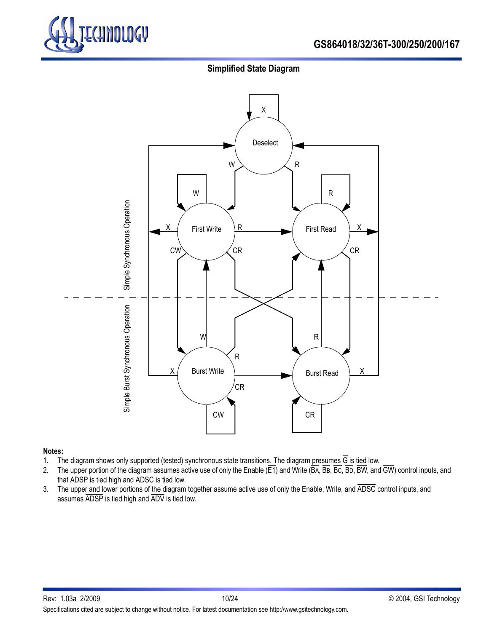

# **GS864018/32/36T-300/250/200/167**

### **Simplified State Diagram**



#### **Notes:**

- 1. The diagram shows only supported (tested) synchronous state transitions. The diagram presumes G is tied low.
- 2. The upper portion of the diagram assumes active use of only the Enable (E1) and Write (BA, BB, BC, BD, BW, and GW) control inputs, and that ADSP is tied high and ADSC is tied low.
- 3. The upper and lower portions of the diagram together assume active use of only the Enable, Write, and ADSC control inputs, and assumes ADSP is tied high and ADV is tied low.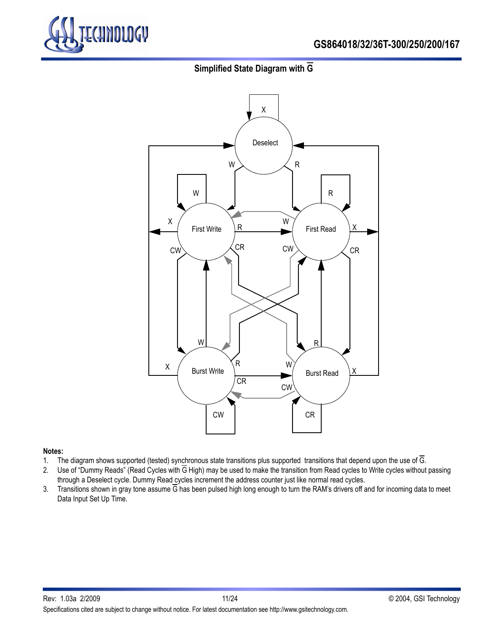

# **GS864018/32/36T-300/250/200/167**

# **Simplified State Diagram with G**



#### **Notes:**

- 1. The diagram shows supported (tested) synchronous state transitions plus supported transitions that depend upon the use of  $\overline{G}$ .
- 2. Use of "Dummy Reads" (Read Cycles with G High) may be used to make the transition from Read cycles to Write cycles without passing through a Deselect cycle. Dummy Read cycles increment the address counter just like normal read cycles.
- 3. Transitions shown in gray tone assume  $\overline{G}$  has been pulsed high long enough to turn the RAM's drivers off and for incoming data to meet Data Input Set Up Time.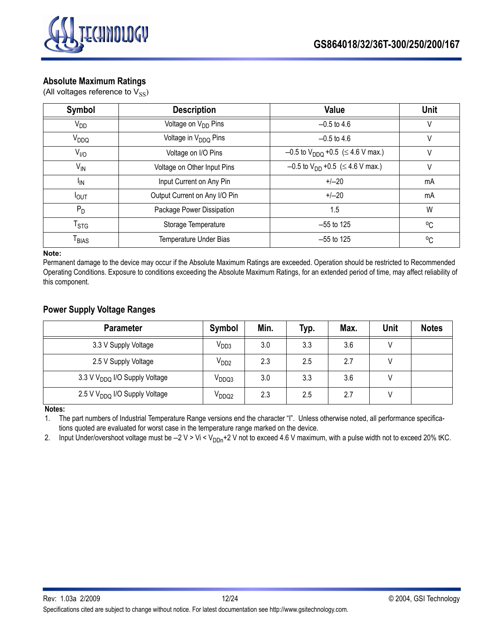



### **Absolute Maximum Ratings**

(All voltages reference to  $V_{SS}$ )

| Symbol                       | <b>Description</b>               | Value                                                | <b>Unit</b>  |
|------------------------------|----------------------------------|------------------------------------------------------|--------------|
| $V_{DD}$                     | Voltage on V <sub>DD</sub> Pins  | $-0.5$ to 4.6                                        |              |
| V <sub>DDQ</sub>             | Voltage in V <sub>DDQ</sub> Pins | $-0.5$ to 4.6                                        | V            |
| $V_{IIO}$                    | Voltage on I/O Pins              | $-0.5$ to V <sub>DDQ</sub> +0.5 ( $\leq$ 4.6 V max.) | V            |
| $V_{IN}$                     | Voltage on Other Input Pins      | $-0.5$ to V <sub>DD</sub> +0.5 ( $\leq$ 4.6 V max.)  |              |
| <sup>I</sup> IN              | Input Current on Any Pin         | $+/-20$                                              | mA           |
| <b>POUT</b>                  | Output Current on Any I/O Pin    | $+/-20$                                              | mA           |
| $P_D$                        | Package Power Dissipation        | 1.5                                                  | W            |
| $\mathsf{T}_{\text{STG}}$    | Storage Temperature              | $-55$ to 125                                         | $^{\circ}$ C |
| $\mathsf{T}_{\mathsf{BIAS}}$ | Temperature Under Bias           | $-55$ to 125                                         | $^{\circ}$ C |

#### **Note:**

Permanent damage to the device may occur if the Absolute Maximum Ratings are exceeded. Operation should be restricted to Recommended Operating Conditions. Exposure to conditions exceeding the Absolute Maximum Ratings, for an extended period of time, may affect reliability of this component.

### **Power Supply Voltage Ranges**

| <b>Parameter</b>                          | Symbol            | Min. | Typ. | Max. | Unit | <b>Notes</b> |
|-------------------------------------------|-------------------|------|------|------|------|--------------|
| 3.3 V Supply Voltage                      | V <sub>DD3</sub>  | 3.0  | 3.3  | 3.6  |      |              |
| 2.5 V Supply Voltage                      | V <sub>DD2</sub>  | 2.3  | 2.5  | 2.7  |      |              |
| 3.3 V V <sub>DDQ</sub> I/O Supply Voltage | V <sub>DDQ3</sub> | 3.0  | 3.3  | 3.6  |      |              |
| 2.5 V V <sub>DDQ</sub> I/O Supply Voltage | V <sub>DDQ2</sub> | 2.3  | 2.5  | 2.7  |      |              |

**Notes:**

1. The part numbers of Industrial Temperature Range versions end the character "I". Unless otherwise noted, all performance specifications quoted are evaluated for worst case in the temperature range marked on the device.

2. Input Under/overshoot voltage must be  $-2$  V > Vi < V<sub>DDn</sub>+2 V not to exceed 4.6 V maximum, with a pulse width not to exceed 20% tKC.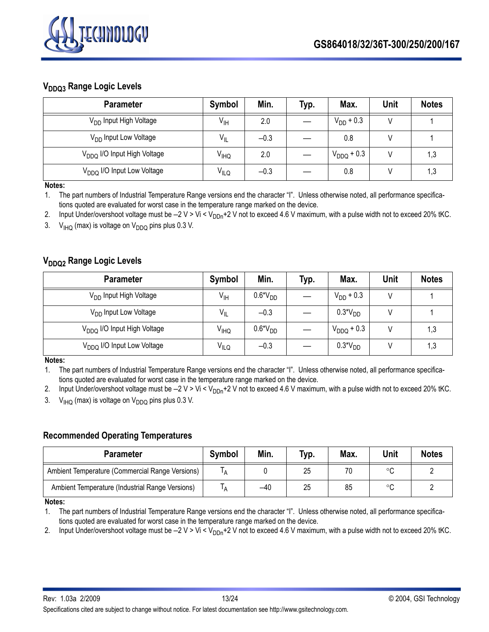

# **V<sub>DDQ3</sub> Range Logic Levels**

| <b>Parameter</b>                        | Symbol           | Min.   | Typ. | Max.            | Unit | <b>Notes</b> |
|-----------------------------------------|------------------|--------|------|-----------------|------|--------------|
| V <sub>DD</sub> Input High Voltage      | V <sub>IH</sub>  | 2.0    |      | $V_{DD}$ + 0.3  |      |              |
| V <sub>DD</sub> Input Low Voltage       | $V_{\parallel}$  | $-0.3$ |      | 0.8             |      |              |
| V <sub>DDQ</sub> I/O Input High Voltage | V <sub>IHQ</sub> | 2.0    |      | $V_{DDQ} + 0.3$ |      | 1,3          |
| V <sub>DDQ</sub> I/O Input Low Voltage  | V <sub>ILQ</sub> | $-0.3$ |      | 0.8             |      | 1,3          |

**Notes:**

1. The part numbers of Industrial Temperature Range versions end the character "I". Unless otherwise noted, all performance specifications quoted are evaluated for worst case in the temperature range marked on the device.

2. Input Under/overshoot voltage must be  $-2$  V > Vi < V<sub>DDn</sub>+2 V not to exceed 4.6 V maximum, with a pulse width not to exceed 20% tKC.

3.  $V_{IHO}$  (max) is voltage on  $V_{DDO}$  pins plus 0.3 V.

# **V<sub>DDQ2</sub>** Range Logic Levels

| <b>Parameter</b>                        | Symbol                 | Min.      | Typ. | Max.            | Unit | <b>Notes</b> |
|-----------------------------------------|------------------------|-----------|------|-----------------|------|--------------|
| V <sub>DD</sub> Input High Voltage      | $V_{\text{IH}}$        | $0.6*VDD$ |      | $V_{DD}$ + 0.3  |      |              |
| V <sub>DD</sub> Input Low Voltage       | $V_{IL}$               | $-0.3$    |      | $0.3*VDD$       |      |              |
| V <sub>DDQ</sub> I/O Input High Voltage | <b>V<sub>IHQ</sub></b> | $0.6*VDD$ |      | $V_{DDQ} + 0.3$ |      | 1,3          |
| V <sub>DDQ</sub> I/O Input Low Voltage  | $V_{I L Q}$            | $-0.3$    |      | $0.3*VDD$       |      | 1,3          |

**Notes:**

1. The part numbers of Industrial Temperature Range versions end the character "I". Unless otherwise noted, all performance specifications quoted are evaluated for worst case in the temperature range marked on the device.

2. Input Under/overshoot voltage must be  $-2$  V > Vi < V<sub>DDn</sub>+2 V not to exceed 4.6 V maximum, with a pulse width not to exceed 20% tKC. 3.  $V_{H\Omega}$  (max) is voltage on  $V_{DD\Omega}$  pins plus 0.3 V.

# **Recommended Operating Temperatures**

| <b>Parameter</b>                                | Symbol | Min. | Typ. | Max. | <b>Unit</b> | <b>Notes</b> |
|-------------------------------------------------|--------|------|------|------|-------------|--------------|
| Ambient Temperature (Commercial Range Versions) | A      |      | 25   | 70   | $\circ$     |              |
| Ambient Temperature (Industrial Range Versions) | A      | -40  | 25   | 85   | $\circ$     |              |

**Notes:**

1. The part numbers of Industrial Temperature Range versions end the character "I". Unless otherwise noted, all performance specifications quoted are evaluated for worst case in the temperature range marked on the device.

2. Input Under/overshoot voltage must be  $-2$  V > Vi < V<sub>DDn</sub>+2 V not to exceed 4.6 V maximum, with a pulse width not to exceed 20% tKC.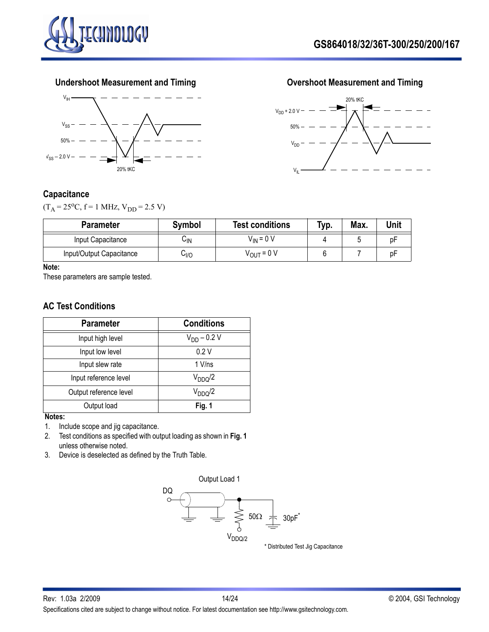







### **Capacitance**

 $(T_A = 25^{\circ}C, f = 1 \text{ MHz}, V_{DD} = 2.5 \text{ V})$ 

| <b>Parameter</b>         | <b>Symbol</b> | <b>Test conditions</b> | Typ. | Max. | Unit |
|--------------------------|---------------|------------------------|------|------|------|
| Input Capacitance        | ∪lN           | $V_{IN}$ = 0 V         |      |      |      |
| Input/Output Capacitance | 0∥י           | V <sub>OUT</sub> = 0 V |      |      | D⊢   |

#### **Note:**

These parameters are sample tested.

### **AC Test Conditions**

| <b>Parameter</b>       | <b>Conditions</b>   |
|------------------------|---------------------|
| Input high level       | $V_{DD} - 0.2 V$    |
| Input low level        | 0.2V                |
| Input slew rate        | $1$ V/ns            |
| Input reference level  | V <sub>DDQ</sub> /2 |
| Output reference level | $V_{DDQ}/2$         |
| Output load            | Fig. 1              |

#### **Notes:**

1. Include scope and jig capacitance.

- 2. Test conditions as specified with output loading as shown in **Fig. 1** unless otherwise noted.
- 3. Device is deselected as defined by the Truth Table.

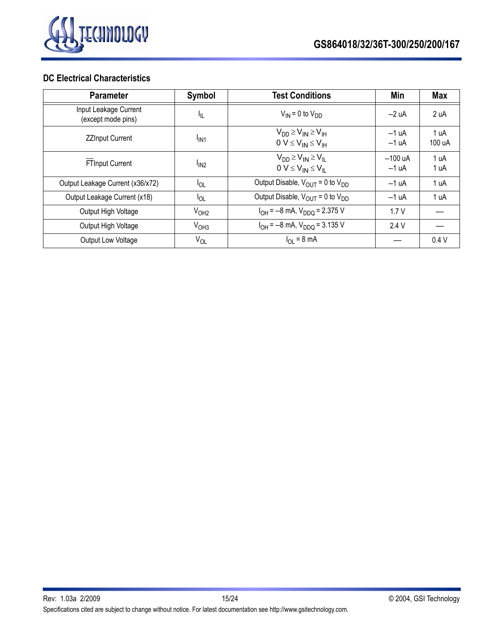

### **DC Electrical Characteristics**

| <b>Parameter</b>                            | Symbol                       | <b>Test Conditions</b>                                            | Min                  | <b>Max</b>     |
|---------------------------------------------|------------------------------|-------------------------------------------------------------------|----------------------|----------------|
| Input Leakage Current<br>(except mode pins) | ŀμ                           | $V_{IN}$ = 0 to $V_{DD}$                                          | $-2 uA$              | 2 uA           |
| <b>ZZInput Current</b>                      | <sup>I</sup> IN <sub>1</sub> | $V_{DD} \geq V_{IN} \geq V_{IH}$<br>$0 V \leq V_{IN} \leq V_{IH}$ | $-1 uA$<br>$-1 uA$   | 1 uA<br>100 uA |
| <b>FTInput Current</b>                      | I <sub>IN2</sub>             | $V_{DD} \geq V_{IN} \geq V_{II}$<br>$0 V \leq V_{IN} \leq V_{IL}$ | $-100$ uA<br>$-1 uA$ | 1 uA<br>1 uA   |
| Output Leakage Current (x36/x72)            | $I_{OL}$                     | Output Disable, $V_{OUT} = 0$ to $V_{DD}$                         | $-1 uA$              | 1 uA           |
| Output Leakage Current (x18)                | $I_{OL}$                     | Output Disable, $V_{\text{OUT}} = 0$ to $V_{\text{DD}}$           | $-1 uA$              | 1 uA           |
| Output High Voltage                         | V <sub>OH2</sub>             | $I_{OH} = -8$ mA, $V_{DDQ} = 2.375$ V                             | 1.7V                 |                |
| Output High Voltage                         | V <sub>OH3</sub>             | $I_{OH} = -8$ mA, $V_{DDQ} = 3.135$ V                             | 2.4 V                |                |
| Output Low Voltage                          | $V_{OL}$                     | $I_{\text{OI}} = 8 \text{ mA}$                                    |                      | 0.4V           |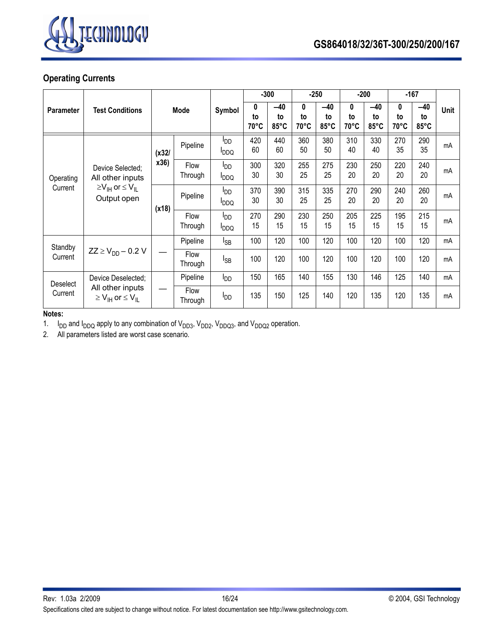

# **Operating Currents**

|                                       |                                                                                     |          |                 |                                            | $-300$          |                     | $-250$          |                     |                 | $-200$              |                           | $-167$              |      |
|---------------------------------------|-------------------------------------------------------------------------------------|----------|-----------------|--------------------------------------------|-----------------|---------------------|-----------------|---------------------|-----------------|---------------------|---------------------------|---------------------|------|
| <b>Parameter</b>                      | <b>Test Conditions</b>                                                              | Mode     |                 | Symbol                                     | 0<br>to<br>70°C | $-40$<br>to<br>85°C | 0<br>to<br>70°C | $-40$<br>to<br>85°C | 0<br>to<br>70°C | $-40$<br>to<br>85°C | 0<br>to<br>$70^{\circ}$ C | $-40$<br>to<br>85°C | Unit |
|                                       |                                                                                     | (x32)    | Pipeline        | ססי<br><b>I</b> DDQ                        | 420<br>60       | 440<br>60           | 360<br>50       | 380<br>50           | 310<br>40       | 330<br>40           | 270<br>35                 | 290<br>35           | mA   |
| Operating                             | Device Selected;<br>All other inputs                                                | x36)     | Flow<br>Through | l <sub>DD</sub><br><b>PDDQ</b>             | 300<br>30       | 320<br>30           | 255<br>25       | 275<br>25           | 230<br>20       | 250<br>20           | 220<br>20                 | 240<br>20           | mA   |
|                                       | $\geq$ V <sub>IH</sub> or $\leq$ V <sub>II</sub><br>Current<br>Output open<br>(x18) |          | Pipeline        | l <sub>DD</sub><br><b>I</b> <sub>DDQ</sub> | 370<br>30       | 390<br>30           | 315<br>25       | 335<br>25           | 270<br>20       | 290<br>20           | 240<br>20                 | 260<br>20           | mA   |
|                                       |                                                                                     |          | Flow<br>Through | l <sub>DD</sub><br><b>PDDQ</b>             | 270<br>15       | 290<br>15           | 230<br>15       | 250<br>15           | 205<br>15       | 225<br>15           | 195<br>15                 | 215<br>15           | mA   |
| Standby                               |                                                                                     |          | Pipeline        | l <sub>SB</sub>                            | 100             | 120                 | 100             | 120                 | 100             | 120                 | 100                       | 120                 | mA   |
| Current                               | $ZZ \ge V_{DD} - 0.2 V$                                                             |          | Flow<br>Through | $I_{SB}$                                   | 100             | 120                 | 100             | 120                 | 100             | 120                 | 100                       | 120                 | mA   |
| Device Deselected;<br><b>Deselect</b> |                                                                                     | Pipeline | l <sub>DD</sub> | 150                                        | 165             | 140                 | 155             | 130                 | 146             | 125                 | 140                       | mA                  |      |
| Current                               | All other inputs<br>$\geq$ V <sub>IH</sub> or $\leq$ V <sub>II</sub>                |          | Flow<br>Through | l <sub>DD</sub>                            | 135             | 150                 | 125             | 140                 | 120             | 135                 | 120                       | 135                 | mA   |

**Notes:** 

1.  $I_{DD}$  and  $I_{DDQ}$  apply to any combination of  $V_{DD3}$ ,  $V_{DD2}$ ,  $V_{DDQ3}$ , and  $V_{DDQ2}$  operation.

2. All parameters listed are worst case scenario.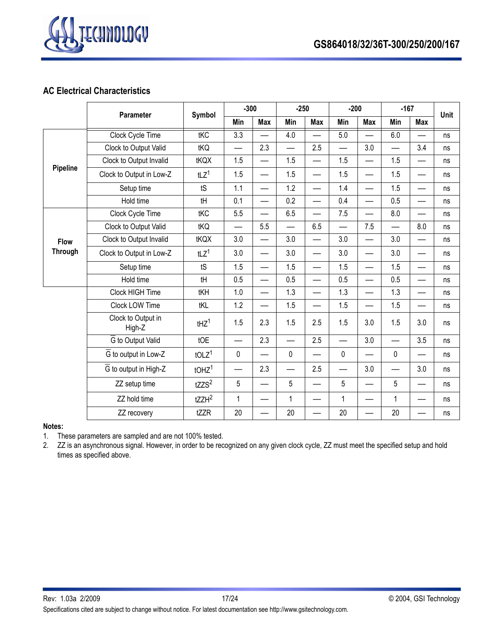



# **AC Electrical Characteristics**

|                 | Parameter                    | Symbol               | $-300$           |            | $-250$                   |            | $-200$                   |                          | $-167$       |                          | Unit |
|-----------------|------------------------------|----------------------|------------------|------------|--------------------------|------------|--------------------------|--------------------------|--------------|--------------------------|------|
|                 |                              |                      | Min              | <b>Max</b> | Min                      | <b>Max</b> | Min                      | <b>Max</b>               | Min          | <b>Max</b>               |      |
|                 | Clock Cycle Time             | tKC                  | $\overline{3.3}$ |            | 4.0                      |            | 5.0                      |                          | 6.0          |                          | ns   |
|                 | Clock to Output Valid        | tKQ                  |                  | 2.3        | $\overline{\phantom{0}}$ | 2.5        | $\overline{\phantom{0}}$ | 3.0                      |              | 3.4                      | ns   |
|                 | Clock to Output Invalid      | tKQX                 | 1.5              |            | 1.5                      |            | 1.5                      |                          | 1.5          |                          | ns   |
| <b>Pipeline</b> | Clock to Output in Low-Z     | tLZ <sup>1</sup>     | 1.5              | —          | 1.5                      |            | 1.5                      | $\overline{\phantom{0}}$ | 1.5          | —                        | ns   |
|                 | Setup time                   | tS                   | 1.1              |            | 1.2                      |            | 1.4                      | $\overline{\phantom{0}}$ | 1.5          | —                        | ns   |
|                 | Hold time                    | tH                   | 0.1              |            | 0.2                      |            | 0.4                      | $\overline{\phantom{0}}$ | 0.5          |                          | ns   |
|                 | Clock Cycle Time             | tKC                  | 5.5              |            | 6.5                      |            | 7.5                      | $\overline{\phantom{0}}$ | 8.0          |                          | ns   |
|                 | Clock to Output Valid        | tKQ                  |                  | 5.5        | $\overline{\phantom{0}}$ | 6.5        | $\overline{\phantom{0}}$ | 7.5                      |              | 8.0                      | ns   |
| <b>Flow</b>     | Clock to Output Invalid      | tKQX                 | 3.0              |            | 3.0                      |            | 3.0                      | $\overline{\phantom{0}}$ | 3.0          | —                        | ns   |
| <b>Through</b>  | Clock to Output in Low-Z     | tLZ <sup>1</sup>     | 3.0              |            | 3.0                      |            | 3.0                      |                          | 3.0          |                          | ns   |
|                 | Setup time                   | tS                   | 1.5              |            | 1.5                      |            | 1.5                      | $\overline{\phantom{0}}$ | 1.5          | —                        | ns   |
|                 | Hold time                    | tH                   | 0.5              |            | 0.5                      |            | 0.5                      | $\overline{\phantom{0}}$ | 0.5          | —                        | ns   |
|                 | Clock HIGH Time              | tKH                  | 1.0              |            | 1.3                      |            | 1.3                      | $\overline{\phantom{0}}$ | 1.3          | $\overline{\phantom{0}}$ | ns   |
|                 | Clock LOW Time               | tKL                  | 1.2              |            | 1.5                      |            | 1.5                      | $\overline{\phantom{0}}$ | 1.5          | —                        | ns   |
|                 | Clock to Output in<br>High-Z | $1$                  | 1.5              | 2.3        | 1.5                      | 2.5        | 1.5                      | 3.0                      | 1.5          | 3.0                      | ns   |
|                 | G to Output Valid            | tOE                  |                  | 2.3        | $\overline{\phantom{0}}$ | 2.5        |                          | 3.0                      |              | 3.5                      | ns   |
|                 | G to output in Low-Z         | $t$ OLZ <sup>1</sup> | 0                |            | $\pmb{0}$                |            | $\mathbf 0$              |                          | 0            |                          | ns   |
|                 | G to output in High-Z        | $t$ OHZ <sup>1</sup> |                  | 2.3        |                          | 2.5        |                          | 3.0                      |              | 3.0                      | ns   |
|                 | ZZ setup time                | tZZS <sup>2</sup>    | 5                |            | 5                        |            | 5                        |                          | 5            |                          | ns   |
|                 | ZZ hold time                 | $tZZH^2$             | $\mathbf{1}$     |            | $\mathbf{1}$             |            | $\mathbf{1}$             |                          | $\mathbf{1}$ |                          | ns   |
|                 | ZZ recovery                  | tZZR                 | 20               |            | 20                       |            | 20                       | $\overline{\phantom{0}}$ | 20           |                          | ns   |

#### **Notes:**

1. These parameters are sampled and are not 100% tested.

2. ZZ is an asynchronous signal. However, in order to be recognized on any given clock cycle, ZZ must meet the specified setup and hold times as specified above.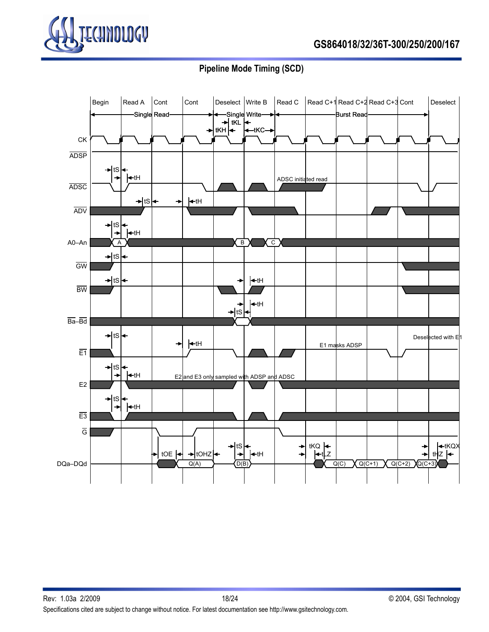

# **GS864018/32/36T-300/250/200/167**

# **Pipeline Mode Timing (SCD)**

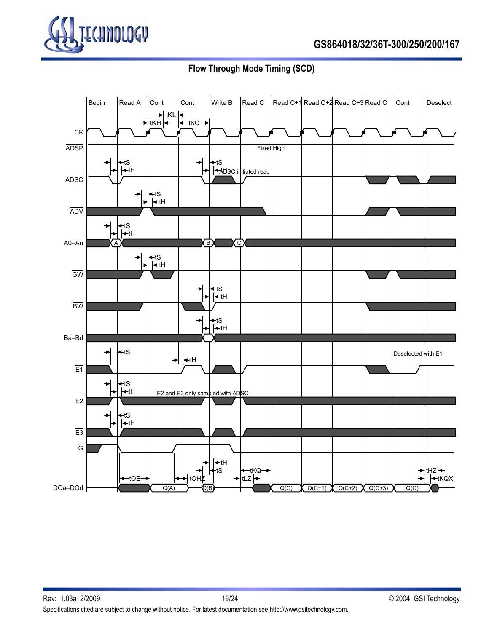

**Flow Through Mode Timing (SCD)**

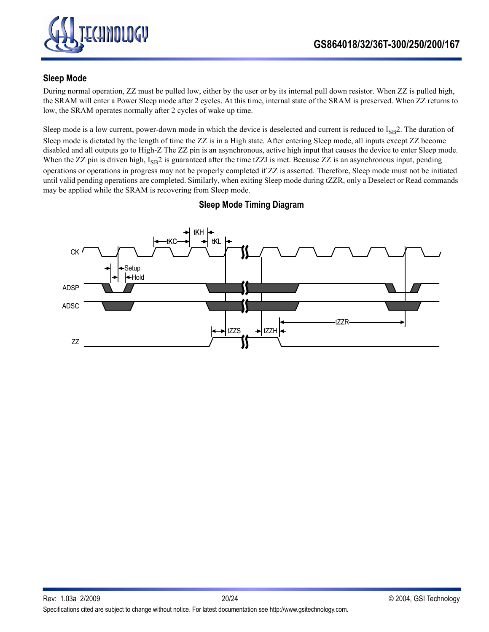

### **Sleep Mode**

During normal operation, ZZ must be pulled low, either by the user or by its internal pull down resistor. When ZZ is pulled high, the SRAM will enter a Power Sleep mode after 2 cycles. At this time, internal state of the SRAM is preserved. When ZZ returns to low, the SRAM operates normally after 2 cycles of wake up time.

Sleep mode is a low current, power-down mode in which the device is deselected and current is reduced to  $I_{SB}$ 2. The duration of Sleep mode is dictated by the length of time the ZZ is in a High state. After entering Sleep mode, all inputs except ZZ become disabled and all outputs go to High-Z The ZZ pin is an asynchronous, active high input that causes the device to enter Sleep mode. When the ZZ pin is driven high,  $I_{SB}2$  is guaranteed after the time tZZI is met. Because ZZ is an asynchronous input, pending operations or operations in progress may not be properly completed if ZZ is asserted. Therefore, Sleep mode must not be initiated until valid pending operations are completed. Similarly, when exiting Sleep mode during tZZR, only a Deselect or Read commands may be applied while the SRAM is recovering from Sleep mode.



**Sleep Mode Timing Diagram**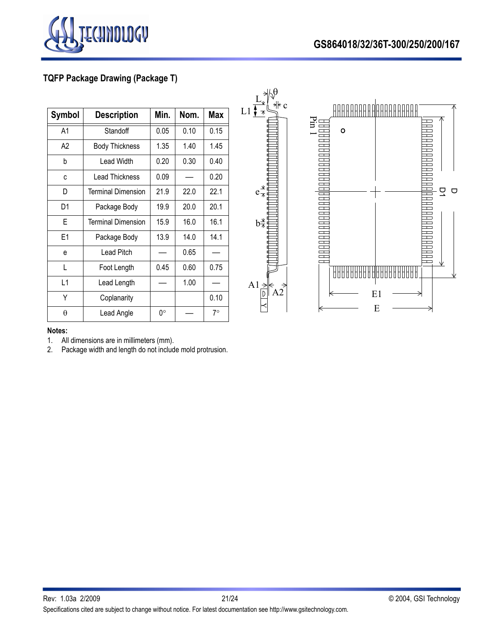

# **GS864018/32/36T-300/250/200/167**

# **TQFP Package Drawing (Package T)**

| <b>Symbol</b> | <b>Description</b>        | Min. | Nom. | <b>Max</b> |
|---------------|---------------------------|------|------|------------|
| A1            | Standoff                  | 0.05 | 0.10 | 0.15       |
| A2            | <b>Body Thickness</b>     | 1.35 | 1.40 | 1.45       |
| b             | Lead Width                | 0.20 | 0.30 | 0.40       |
| C             | <b>Lead Thickness</b>     | 0.09 |      | 0.20       |
| D             | <b>Terminal Dimension</b> | 21.9 | 22.0 | 22.1       |
| D1            | Package Body              | 19.9 | 20.0 | 20.1       |
| E             | <b>Terminal Dimension</b> | 15.9 | 16.0 | 16.1       |
| E1            | Package Body              | 13.9 | 14.0 | 14.1       |
| e             | Lead Pitch                |      | 0.65 |            |
| L             | Foot Length               | 0.45 | 0.60 | 0.75       |
| L1            | Lead Length               |      | 1.00 |            |
| Υ             | Coplanarity               |      |      | 0.10       |
| θ             | Lead Angle                | 0°   |      | $7^\circ$  |

L1



#### **Notes:**

1. All dimensions are in millimeters (mm).

2. Package width and length do not include mold protrusion.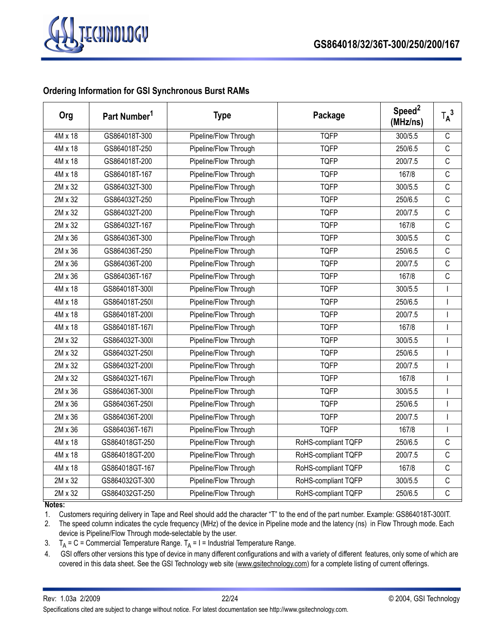

### **Ordering Information for GSI Synchronous Burst RAMs**

| Org            | Part Number <sup>1</sup> | <b>Type</b>           | Package             | Speed <sup>2</sup><br>(MHz/ns) | $T_A^3$      |
|----------------|--------------------------|-----------------------|---------------------|--------------------------------|--------------|
| $4M \times 18$ | GS864018T-300            | Pipeline/Flow Through | <b>TQFP</b>         | 300/5.5                        | $\mathsf C$  |
| 4M x 18        | GS864018T-250            | Pipeline/Flow Through | <b>TQFP</b>         | 250/6.5                        | $\mathsf{C}$ |
| 4M x 18        | GS864018T-200            | Pipeline/Flow Through | <b>TQFP</b>         | 200/7.5                        | $\mathsf{C}$ |
| 4M x 18        | GS864018T-167            | Pipeline/Flow Through | <b>TQFP</b>         | 167/8                          | $\mathsf C$  |
| 2M x 32        | GS864032T-300            | Pipeline/Flow Through | <b>TQFP</b>         | 300/5.5                        | $\mathsf{C}$ |
| 2M x 32        | GS864032T-250            | Pipeline/Flow Through | <b>TQFP</b>         | 250/6.5                        | $\mathsf C$  |
| 2M x 32        | GS864032T-200            | Pipeline/Flow Through | <b>TQFP</b>         | 200/7.5                        | $\mathsf C$  |
| 2M x 32        | GS864032T-167            | Pipeline/Flow Through | <b>TQFP</b>         | 167/8                          | С            |
| 2M x 36        | GS864036T-300            | Pipeline/Flow Through | <b>TQFP</b>         | 300/5.5                        | C            |
| 2M x 36        | GS864036T-250            | Pipeline/Flow Through | <b>TQFP</b>         | 250/6.5                        | $\mathsf{C}$ |
| 2M x 36        | GS864036T-200            | Pipeline/Flow Through | <b>TQFP</b>         | 200/7.5                        | $\mathsf{C}$ |
| 2M x 36        | GS864036T-167            | Pipeline/Flow Through | <b>TQFP</b>         | 167/8                          | $\mathsf C$  |
| 4M x 18        | GS864018T-300I           | Pipeline/Flow Through | <b>TQFP</b>         | 300/5.5                        | $\mathbf{I}$ |
| 4M x 18        | GS864018T-250I           | Pipeline/Flow Through | <b>TQFP</b>         | 250/6.5                        |              |
| 4M x 18        | GS864018T-200I           | Pipeline/Flow Through | <b>TQFP</b>         | 200/7.5                        | $\mathbf{I}$ |
| 4M x 18        | GS864018T-167I           | Pipeline/Flow Through | <b>TQFP</b>         | 167/8                          |              |
| 2M x 32        | GS864032T-300I           | Pipeline/Flow Through | <b>TQFP</b>         | 300/5.5                        | T            |
| 2M x 32        | GS864032T-250I           | Pipeline/Flow Through | <b>TQFP</b>         | 250/6.5                        | $\mathbf{I}$ |
| 2M x 32        | GS864032T-200I           | Pipeline/Flow Through | <b>TQFP</b>         | 200/7.5                        |              |
| 2M x 32        | GS864032T-167I           | Pipeline/Flow Through | <b>TQFP</b>         | 167/8                          | $\mathbf{I}$ |
| 2M x 36        | GS864036T-300I           | Pipeline/Flow Through | <b>TQFP</b>         | 300/5.5                        |              |
| 2M x 36        | GS864036T-250I           | Pipeline/Flow Through | <b>TQFP</b>         | 250/6.5                        |              |
| 2M x 36        | GS864036T-200I           | Pipeline/Flow Through | <b>TQFP</b>         | 200/7.5                        | $\mathbf{I}$ |
| 2M x 36        | GS864036T-167I           | Pipeline/Flow Through | <b>TQFP</b>         | 167/8                          |              |
| 4M x 18        | GS864018GT-250           | Pipeline/Flow Through | RoHS-compliant TQFP | 250/6.5                        | $\mathsf{C}$ |
| 4M x 18        | GS864018GT-200           | Pipeline/Flow Through | RoHS-compliant TQFP | 200/7.5                        | $\mathsf C$  |
| 4M x 18        | GS864018GT-167           | Pipeline/Flow Through | RoHS-compliant TQFP | 167/8                          | $\mathsf C$  |
| 2M x 32        | GS864032GT-300           | Pipeline/Flow Through | RoHS-compliant TQFP | 300/5.5                        | $\mathsf C$  |
| 2M x 32        | GS864032GT-250           | Pipeline/Flow Through | RoHS-compliant TQFP | 250/6.5                        | $\mathsf{C}$ |

#### **Notes:**

1. Customers requiring delivery in Tape and Reel should add the character "T" to the end of the part number. Example: GS864018T-300IT.

2. The speed column indicates the cycle frequency (MHz) of the device in Pipeline mode and the latency (ns) in Flow Through mode. Each device is Pipeline/Flow Through mode-selectable by the user.

3.  $T_A = C =$  Commercial Temperature Range.  $T_A = I =$  Industrial Temperature Range.

4. GSI offers other versions this type of device in many different configurations and with a variety of different features, only some of which are covered in this data sheet. See the GSI Technology web site (www.gsitechnology.com) for a complete listing of current offerings.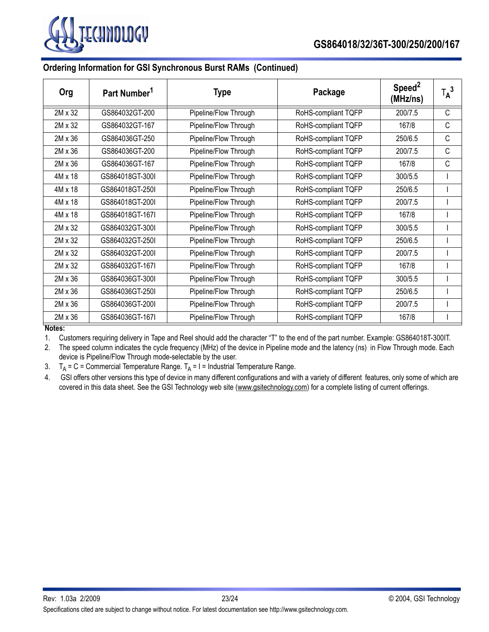

### **Ordering Information for GSI Synchronous Burst RAMs (Continued)**

| Org            | Part Number <sup>1</sup> | <b>Type</b>           | Package             | Speed <sup>2</sup><br>(MHz/ns) | $T_A^3$ |
|----------------|--------------------------|-----------------------|---------------------|--------------------------------|---------|
| 2M x 32        | GS864032GT-200           | Pipeline/Flow Through | RoHS-compliant TQFP | 200/7.5                        | C       |
| 2M x 32        | GS864032GT-167           | Pipeline/Flow Through | RoHS-compliant TQFP | 167/8                          | C       |
| 2M x 36        | GS864036GT-250           | Pipeline/Flow Through | RoHS-compliant TQFP | 250/6.5                        | C       |
| 2M x 36        | GS864036GT-200           | Pipeline/Flow Through | RoHS-compliant TQFP | 200/7.5                        | C       |
| 2M x 36        | GS864036GT-167           | Pipeline/Flow Through | RoHS-compliant TQFP | 167/8                          | C       |
| $4M \times 18$ | GS864018GT-300L          | Pipeline/Flow Through | RoHS-compliant TQFP | 300/5.5                        |         |
| 4M x 18        | GS864018GT-250I          | Pipeline/Flow Through | RoHS-compliant TQFP | 250/6.5                        |         |
| 4M x 18        | GS864018GT-200I          | Pipeline/Flow Through | RoHS-compliant TQFP | 200/7.5                        |         |
| 4M x 18        | GS864018GT-167I          | Pipeline/Flow Through | RoHS-compliant TQFP | 167/8                          |         |
| 2M x 32        | GS864032GT-300I          | Pipeline/Flow Through | RoHS-compliant TQFP | 300/5.5                        |         |
| 2M x 32        | GS864032GT-250I          | Pipeline/Flow Through | RoHS-compliant TQFP | 250/6.5                        |         |
| 2M x 32        | GS864032GT-200I          | Pipeline/Flow Through | RoHS-compliant TQFP | 200/7.5                        |         |
| 2M x 32        | GS864032GT-167I          | Pipeline/Flow Through | RoHS-compliant TQFP | 167/8                          |         |
| 2M x 36        | GS864036GT-300I          | Pipeline/Flow Through | RoHS-compliant TQFP | 300/5.5                        |         |
| 2M x 36        | GS864036GT-250I          | Pipeline/Flow Through | RoHS-compliant TQFP | 250/6.5                        |         |
| $2M \times 36$ | GS864036GT-200I          | Pipeline/Flow Through | RoHS-compliant TQFP | 200/7.5                        |         |
| 2M x 36        | GS864036GT-167I          | Pipeline/Flow Through | RoHS-compliant TQFP | 167/8                          |         |

**Notes:**

1. Customers requiring delivery in Tape and Reel should add the character "T" to the end of the part number. Example: GS864018T-300IT.

2. The speed column indicates the cycle frequency (MHz) of the device in Pipeline mode and the latency (ns) in Flow Through mode. Each device is Pipeline/Flow Through mode-selectable by the user.

3.  $T_A = C =$  Commercial Temperature Range.  $T_A = I =$  Industrial Temperature Range.

4. GSI offers other versions this type of device in many different configurations and with a variety of different features, only some of which are covered in this data sheet. See the GSI Technology web site (www.gsitechnology.com) for a complete listing of current offerings.